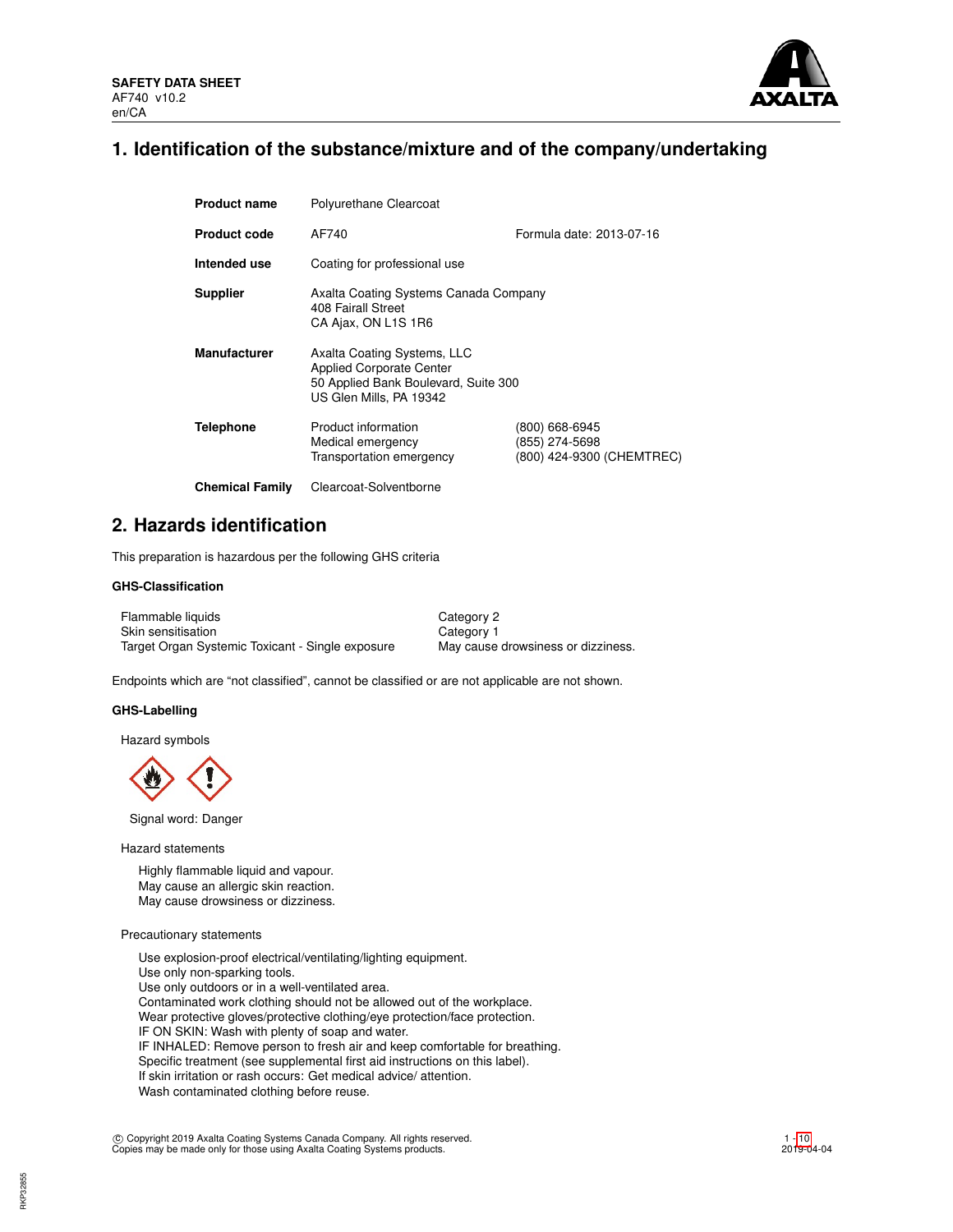

# **1. Identification of the substance/mixture and of the company/undertaking**

| <b>Product name</b>    | Polyurethane Clearcoat                                                                                                            |                                                               |  |  |  |  |
|------------------------|-----------------------------------------------------------------------------------------------------------------------------------|---------------------------------------------------------------|--|--|--|--|
| <b>Product code</b>    | AF740<br>Formula date: 2013-07-16                                                                                                 |                                                               |  |  |  |  |
| Intended use           | Coating for professional use                                                                                                      |                                                               |  |  |  |  |
| <b>Supplier</b>        | Axalta Coating Systems Canada Company<br>408 Fairall Street<br>CA Ajax, ON L1S 1R6                                                |                                                               |  |  |  |  |
| <b>Manufacturer</b>    | Axalta Coating Systems, LLC<br><b>Applied Corporate Center</b><br>50 Applied Bank Boulevard, Suite 300<br>US Glen Mills, PA 19342 |                                                               |  |  |  |  |
| <b>Telephone</b>       | Product information<br>Medical emergency<br>Transportation emergency                                                              | (800) 668-6945<br>(855) 274-5698<br>(800) 424-9300 (CHEMTREC) |  |  |  |  |
| <b>Chemical Family</b> | Clearcoat-Solventborne                                                                                                            |                                                               |  |  |  |  |

# **2. Hazards identification**

This preparation is hazardous per the following GHS criteria

## **GHS-Classification**

| Flammable liquids                                | Category 2                         |
|--------------------------------------------------|------------------------------------|
| Skin sensitisation                               | Category 1                         |
| Target Organ Systemic Toxicant - Single exposure | May cause drowsiness or dizziness. |

Endpoints which are "not classified", cannot be classified or are not applicable are not shown.

#### **GHS-Labelling**

Hazard symbols

Signal word: Danger

Hazard statements

Highly flammable liquid and vapour. May cause an allergic skin reaction. May cause drowsiness or dizziness.

## Precautionary statements

Use explosion-proof electrical/ventilating/lighting equipment. Use only non-sparking tools. Use only outdoors or in a well-ventilated area. Contaminated work clothing should not be allowed out of the workplace. Wear protective gloves/protective clothing/eye protection/face protection. IF ON SKIN: Wash with plenty of soap and water. IF INHALED: Remove person to fresh air and keep comfortable for breathing. Specific treatment (see supplemental first aid instructions on this label). If skin irritation or rash occurs: Get medical advice/ attention. Wash contaminated clothing before reuse.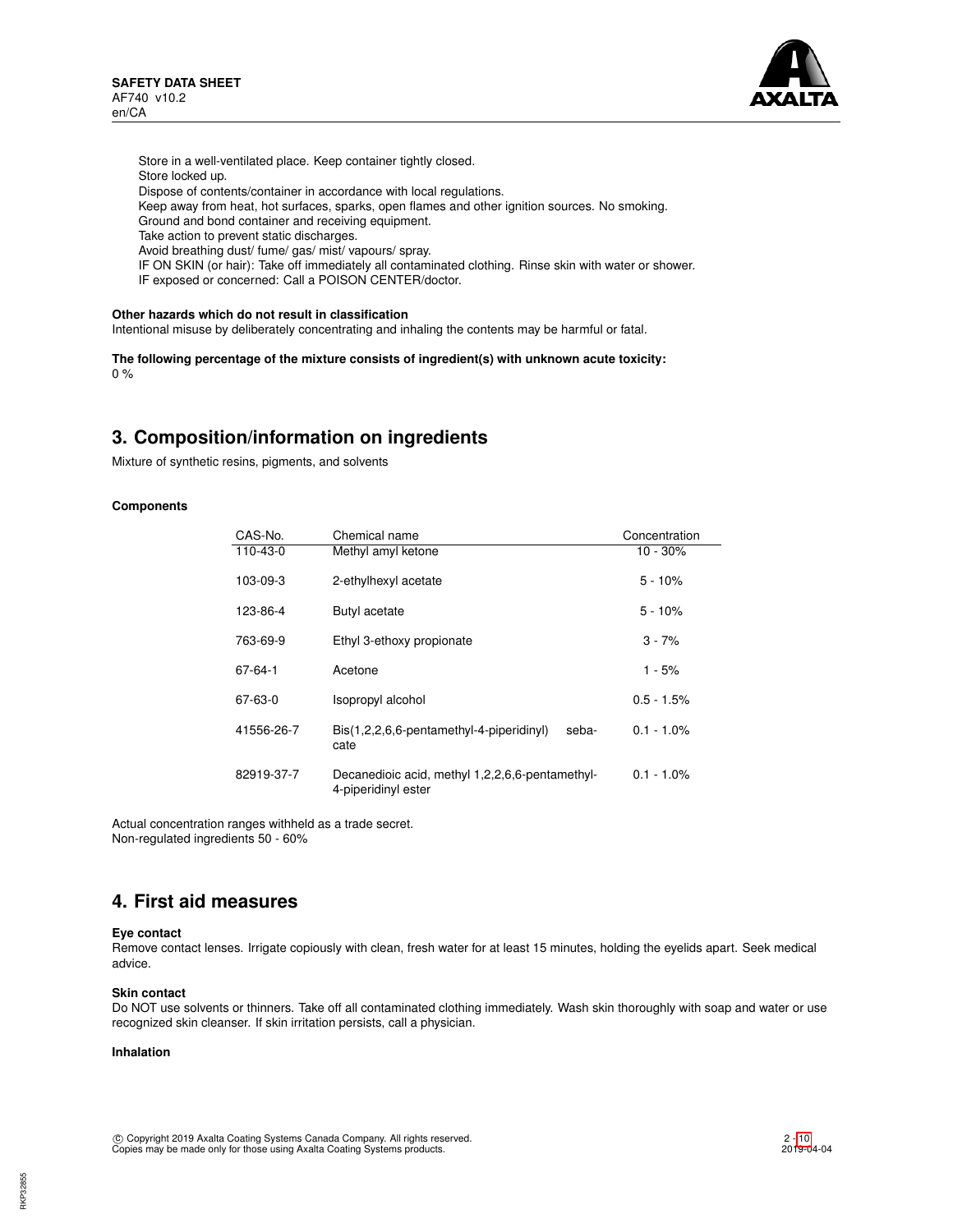

Store in a well-ventilated place. Keep container tightly closed. Store locked up. Dispose of contents/container in accordance with local regulations. Keep away from heat, hot surfaces, sparks, open flames and other ignition sources. No smoking. Ground and bond container and receiving equipment. Take action to prevent static discharges. Avoid breathing dust/ fume/ gas/ mist/ vapours/ spray. IF ON SKIN (or hair): Take off immediately all contaminated clothing. Rinse skin with water or shower.

IF exposed or concerned: Call a POISON CENTER/doctor.

#### **Other hazards which do not result in classification**

Intentional misuse by deliberately concentrating and inhaling the contents may be harmful or fatal.

**The following percentage of the mixture consists of ingredient(s) with unknown acute toxicity:** 0 %

# **3. Composition/information on ingredients**

Mixture of synthetic resins, pigments, and solvents

#### **Components**

| CAS-No.    | Chemical name                                             | Concentration |
|------------|-----------------------------------------------------------|---------------|
| 110-43-0   | Methyl amyl ketone                                        | $10 - 30\%$   |
| 103-09-3   | 2-ethylhexyl acetate                                      | $5 - 10%$     |
| 123-86-4   | Butyl acetate                                             | $5 - 10%$     |
| 763-69-9   | Ethyl 3-ethoxy propionate                                 | $3 - 7%$      |
| 67-64-1    | Acetone                                                   | $1 - 5%$      |
| 67-63-0    | Isopropyl alcohol                                         | $0.5 - 1.5%$  |
| 41556-26-7 | Bis(1,2,2,6,6-pentamethyl-4-piperidinyl)<br>seba-<br>cate | $0.1 - 1.0\%$ |
| 82919-37-7 | $0.1 - 1.0\%$                                             |               |

Actual concentration ranges withheld as a trade secret. Non-regulated ingredients 50 - 60%

## **4. First aid measures**

## **Eye contact**

Remove contact lenses. Irrigate copiously with clean, fresh water for at least 15 minutes, holding the eyelids apart. Seek medical advice.

#### **Skin contact**

Do NOT use solvents or thinners. Take off all contaminated clothing immediately. Wash skin thoroughly with soap and water or use recognized skin cleanser. If skin irritation persists, call a physician.

## **Inhalation**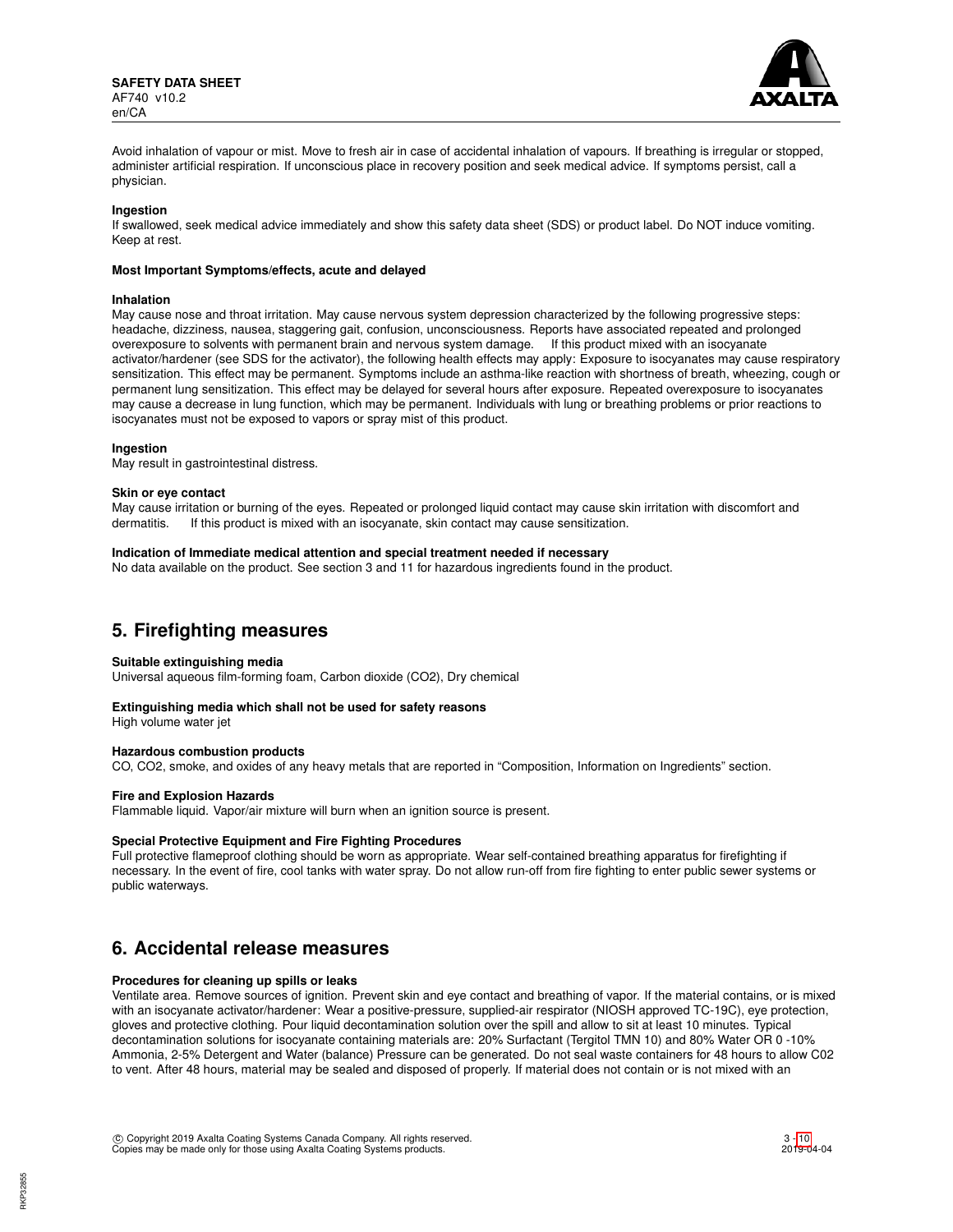

Avoid inhalation of vapour or mist. Move to fresh air in case of accidental inhalation of vapours. If breathing is irregular or stopped, administer artificial respiration. If unconscious place in recovery position and seek medical advice. If symptoms persist, call a physician.

#### **Ingestion**

If swallowed, seek medical advice immediately and show this safety data sheet (SDS) or product label. Do NOT induce vomiting. Keep at rest.

#### **Most Important Symptoms/effects, acute and delayed**

#### **Inhalation**

May cause nose and throat irritation. May cause nervous system depression characterized by the following progressive steps: headache, dizziness, nausea, staggering gait, confusion, unconsciousness. Reports have associated repeated and prolonged overexposure to solvents with permanent brain and nervous system damage. If this product mixed with an isocyanate activator/hardener (see SDS for the activator), the following health effects may apply: Exposure to isocyanates may cause respiratory sensitization. This effect may be permanent. Symptoms include an asthma-like reaction with shortness of breath, wheezing, cough or permanent lung sensitization. This effect may be delayed for several hours after exposure. Repeated overexposure to isocyanates may cause a decrease in lung function, which may be permanent. Individuals with lung or breathing problems or prior reactions to isocyanates must not be exposed to vapors or spray mist of this product.

#### **Ingestion**

May result in gastrointestinal distress.

#### **Skin or eye contact**

May cause irritation or burning of the eyes. Repeated or prolonged liquid contact may cause skin irritation with discomfort and dermatitis. If this product is mixed with an isocyanate, skin contact may cause sensitization.

#### **Indication of Immediate medical attention and special treatment needed if necessary**

No data available on the product. See section 3 and 11 for hazardous ingredients found in the product.

## **5. Firefighting measures**

#### **Suitable extinguishing media**

Universal aqueous film-forming foam, Carbon dioxide (CO2), Dry chemical

#### **Extinguishing media which shall not be used for safety reasons**

High volume water jet

#### **Hazardous combustion products**

CO, CO2, smoke, and oxides of any heavy metals that are reported in "Composition, Information on Ingredients" section.

#### **Fire and Explosion Hazards**

Flammable liquid. Vapor/air mixture will burn when an ignition source is present.

#### **Special Protective Equipment and Fire Fighting Procedures**

Full protective flameproof clothing should be worn as appropriate. Wear self-contained breathing apparatus for firefighting if necessary. In the event of fire, cool tanks with water spray. Do not allow run-off from fire fighting to enter public sewer systems or public waterways.

## **6. Accidental release measures**

#### **Procedures for cleaning up spills or leaks**

Ventilate area. Remove sources of ignition. Prevent skin and eye contact and breathing of vapor. If the material contains, or is mixed with an isocyanate activator/hardener: Wear a positive-pressure, supplied-air respirator (NIOSH approved TC-19C), eye protection, gloves and protective clothing. Pour liquid decontamination solution over the spill and allow to sit at least 10 minutes. Typical decontamination solutions for isocyanate containing materials are: 20% Surfactant (Tergitol TMN 10) and 80% Water OR 0 -10% Ammonia, 2-5% Detergent and Water (balance) Pressure can be generated. Do not seal waste containers for 48 hours to allow C02 to vent. After 48 hours, material may be sealed and disposed of properly. If material does not contain or is not mixed with an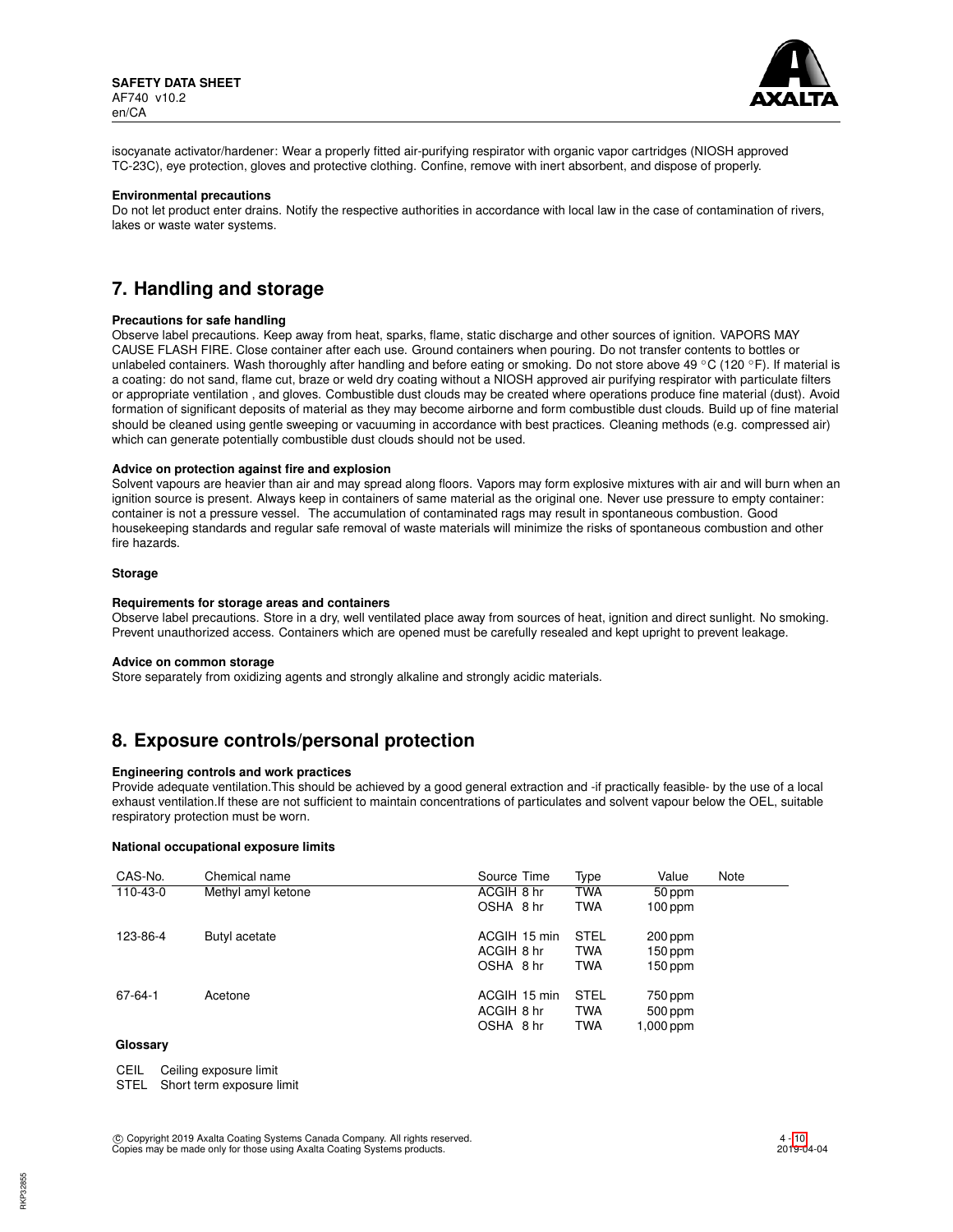

isocyanate activator/hardener: Wear a properly fitted air-purifying respirator with organic vapor cartridges (NIOSH approved TC-23C), eye protection, gloves and protective clothing. Confine, remove with inert absorbent, and dispose of properly.

#### **Environmental precautions**

Do not let product enter drains. Notify the respective authorities in accordance with local law in the case of contamination of rivers, lakes or waste water systems.

# **7. Handling and storage**

#### **Precautions for safe handling**

Observe label precautions. Keep away from heat, sparks, flame, static discharge and other sources of ignition. VAPORS MAY CAUSE FLASH FIRE. Close container after each use. Ground containers when pouring. Do not transfer contents to bottles or unlabeled containers. Wash thoroughly after handling and before eating or smoking. Do not store above 49 °C (120 °F). If material is a coating: do not sand, flame cut, braze or weld dry coating without a NIOSH approved air purifying respirator with particulate filters or appropriate ventilation , and gloves. Combustible dust clouds may be created where operations produce fine material (dust). Avoid formation of significant deposits of material as they may become airborne and form combustible dust clouds. Build up of fine material should be cleaned using gentle sweeping or vacuuming in accordance with best practices. Cleaning methods (e.g. compressed air) which can generate potentially combustible dust clouds should not be used.

## **Advice on protection against fire and explosion**

Solvent vapours are heavier than air and may spread along floors. Vapors may form explosive mixtures with air and will burn when an ignition source is present. Always keep in containers of same material as the original one. Never use pressure to empty container: container is not a pressure vessel. The accumulation of contaminated rags may result in spontaneous combustion. Good housekeeping standards and regular safe removal of waste materials will minimize the risks of spontaneous combustion and other fire hazards.

#### **Storage**

#### **Requirements for storage areas and containers**

Observe label precautions. Store in a dry, well ventilated place away from sources of heat, ignition and direct sunlight. No smoking. Prevent unauthorized access. Containers which are opened must be carefully resealed and kept upright to prevent leakage.

#### **Advice on common storage**

Store separately from oxidizing agents and strongly alkaline and strongly acidic materials.

## **8. Exposure controls/personal protection**

#### **Engineering controls and work practices**

Provide adequate ventilation.This should be achieved by a good general extraction and -if practically feasible- by the use of a local exhaust ventilation.If these are not sufficient to maintain concentrations of particulates and solvent vapour below the OEL, suitable respiratory protection must be worn.

## **National occupational exposure limits**

| CAS-No.  | Chemical name      | Source Time  | Type        | Value     | Note |
|----------|--------------------|--------------|-------------|-----------|------|
| 110-43-0 | Methyl amyl ketone | ACGIH 8 hr   | <b>TWA</b>  | 50 ppm    |      |
|          |                    | OSHA 8 hr    | <b>TWA</b>  | $100$ ppm |      |
| 123-86-4 | Butyl acetate      | ACGIH 15 min | <b>STEL</b> | 200 ppm   |      |
|          |                    | ACGIH 8 hr   | <b>TWA</b>  | $150$ ppm |      |
|          |                    | OSHA 8 hr    | <b>TWA</b>  | $150$ ppm |      |
| 67-64-1  | Acetone            | ACGIH 15 min | <b>STEL</b> | 750 ppm   |      |
|          |                    | ACGIH 8 hr   | <b>TWA</b>  | 500 ppm   |      |
|          |                    | OSHA 8 hr    | <b>TWA</b>  | 1,000 ppm |      |

## **Glossary**

CEIL Ceiling exposure limit

STEL Short term exposure limit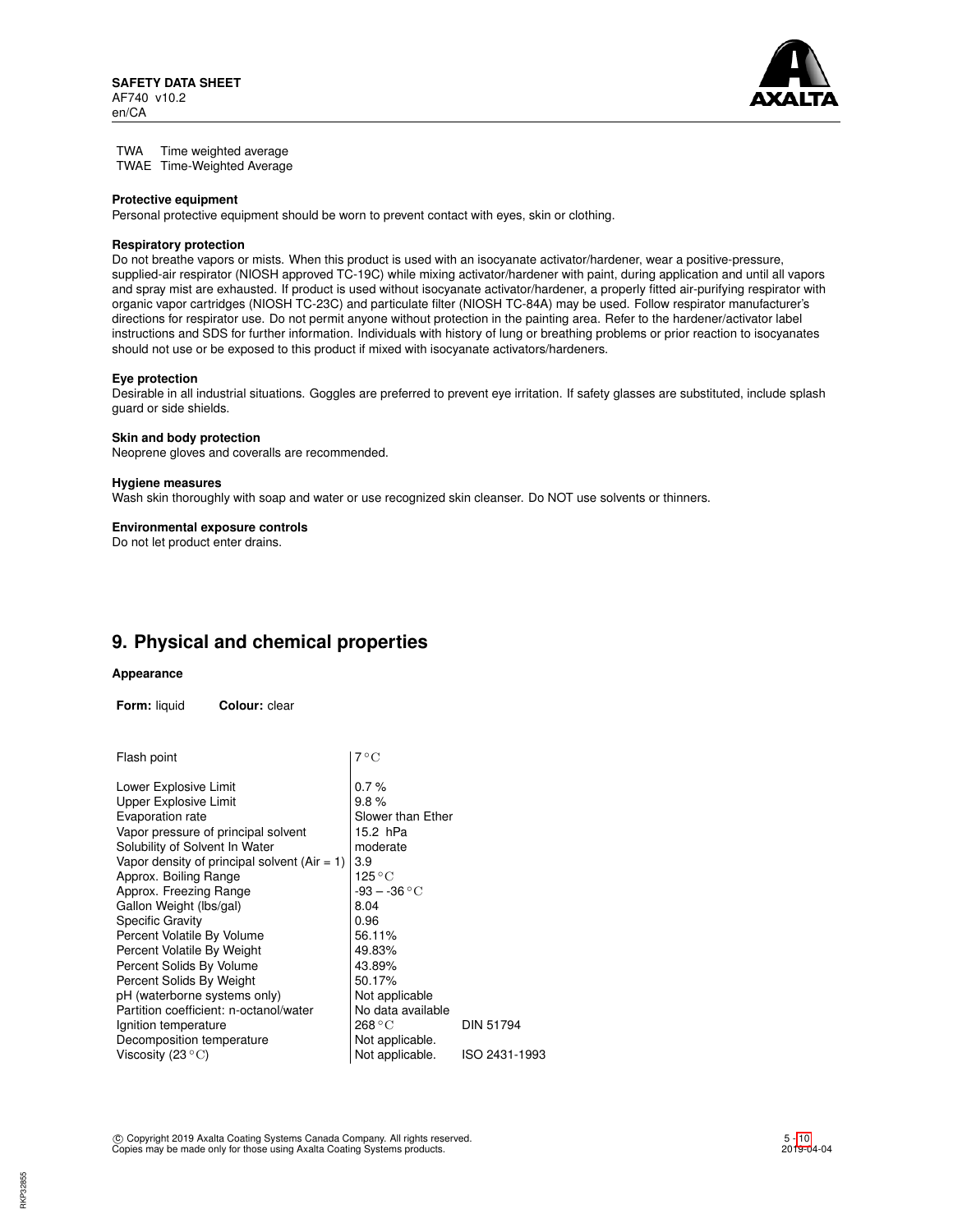

TWA Time weighted average TWAE Time-Weighted Average

#### **Protective equipment**

Personal protective equipment should be worn to prevent contact with eyes, skin or clothing.

## **Respiratory protection**

Do not breathe vapors or mists. When this product is used with an isocyanate activator/hardener, wear a positive-pressure, supplied-air respirator (NIOSH approved TC-19C) while mixing activator/hardener with paint, during application and until all vapors and spray mist are exhausted. If product is used without isocyanate activator/hardener, a properly fitted air-purifying respirator with organic vapor cartridges (NIOSH TC-23C) and particulate filter (NIOSH TC-84A) may be used. Follow respirator manufacturer's directions for respirator use. Do not permit anyone without protection in the painting area. Refer to the hardener/activator label instructions and SDS for further information. Individuals with history of lung or breathing problems or prior reaction to isocyanates should not use or be exposed to this product if mixed with isocyanate activators/hardeners.

#### **Eye protection**

Desirable in all industrial situations. Goggles are preferred to prevent eye irritation. If safety glasses are substituted, include splash guard or side shields.

#### **Skin and body protection**

Neoprene gloves and coveralls are recommended.

#### **Hygiene measures**

Wash skin thoroughly with soap and water or use recognized skin cleanser. Do NOT use solvents or thinners.

#### **Environmental exposure controls**

Do not let product enter drains.

## **9. Physical and chemical properties**

#### **Appearance**

**Form:** liquid **Colour:** clear

| Flash point                                  | 7 ° C             |               |
|----------------------------------------------|-------------------|---------------|
| Lower Explosive Limit                        | 0.7%              |               |
| Upper Explosive Limit                        | 9.8%              |               |
| Evaporation rate                             | Slower than Ether |               |
| Vapor pressure of principal solvent          | 15.2 hPa          |               |
| Solubility of Solvent In Water               | moderate          |               |
| Vapor density of principal solvent (Air = 1) | 3.9               |               |
| Approx. Boiling Range                        | 125 ° C           |               |
| Approx. Freezing Range                       | $-93 - -36 °C$    |               |
| Gallon Weight (lbs/gal)                      | 8.04              |               |
| <b>Specific Gravity</b>                      | 0.96              |               |
| Percent Volatile By Volume                   | 56.11%            |               |
| Percent Volatile By Weight                   | 49.83%            |               |
| Percent Solids By Volume                     | 43.89%            |               |
| Percent Solids By Weight                     | 50.17%            |               |
| pH (waterborne systems only)                 | Not applicable    |               |
| Partition coefficient: n-octanol/water       | No data available |               |
| Ignition temperature                         | 268 °C            | DIN 51794     |
| Decomposition temperature                    | Not applicable.   |               |
| Viscosity (23 $\mathrm{^{\circ}C}$ )         | Not applicable.   | ISO 2431-1993 |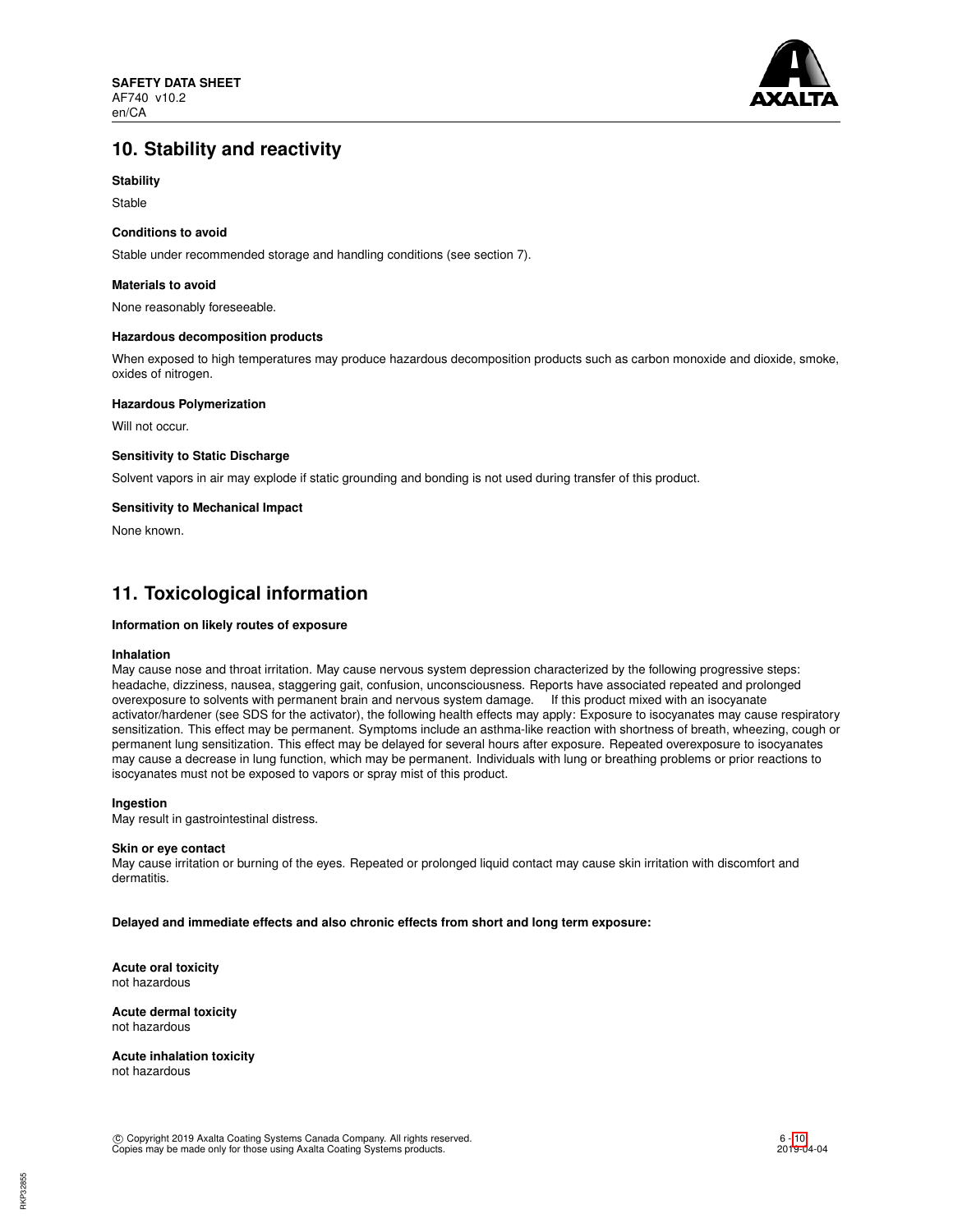

# **10. Stability and reactivity**

## **Stability**

Stable

## **Conditions to avoid**

Stable under recommended storage and handling conditions (see section 7).

#### **Materials to avoid**

None reasonably foreseeable.

#### **Hazardous decomposition products**

When exposed to high temperatures may produce hazardous decomposition products such as carbon monoxide and dioxide, smoke, oxides of nitrogen.

## **Hazardous Polymerization**

Will not occur.

## **Sensitivity to Static Discharge**

Solvent vapors in air may explode if static grounding and bonding is not used during transfer of this product.

## **Sensitivity to Mechanical Impact**

None known.

# **11. Toxicological information**

## **Information on likely routes of exposure**

#### **Inhalation**

May cause nose and throat irritation. May cause nervous system depression characterized by the following progressive steps: headache, dizziness, nausea, staggering gait, confusion, unconsciousness. Reports have associated repeated and prolonged overexposure to solvents with permanent brain and nervous system damage. If this product mixed with an isocyanate activator/hardener (see SDS for the activator), the following health effects may apply: Exposure to isocyanates may cause respiratory sensitization. This effect may be permanent. Symptoms include an asthma-like reaction with shortness of breath, wheezing, cough or permanent lung sensitization. This effect may be delayed for several hours after exposure. Repeated overexposure to isocyanates may cause a decrease in lung function, which may be permanent. Individuals with lung or breathing problems or prior reactions to isocyanates must not be exposed to vapors or spray mist of this product.

#### **Ingestion**

May result in gastrointestinal distress.

#### **Skin or eye contact**

May cause irritation or burning of the eyes. Repeated or prolonged liquid contact may cause skin irritation with discomfort and dermatitis.

**Delayed and immediate effects and also chronic effects from short and long term exposure:**

**Acute oral toxicity** not hazardous

**Acute dermal toxicity** not hazardous

**Acute inhalation toxicity** not hazardous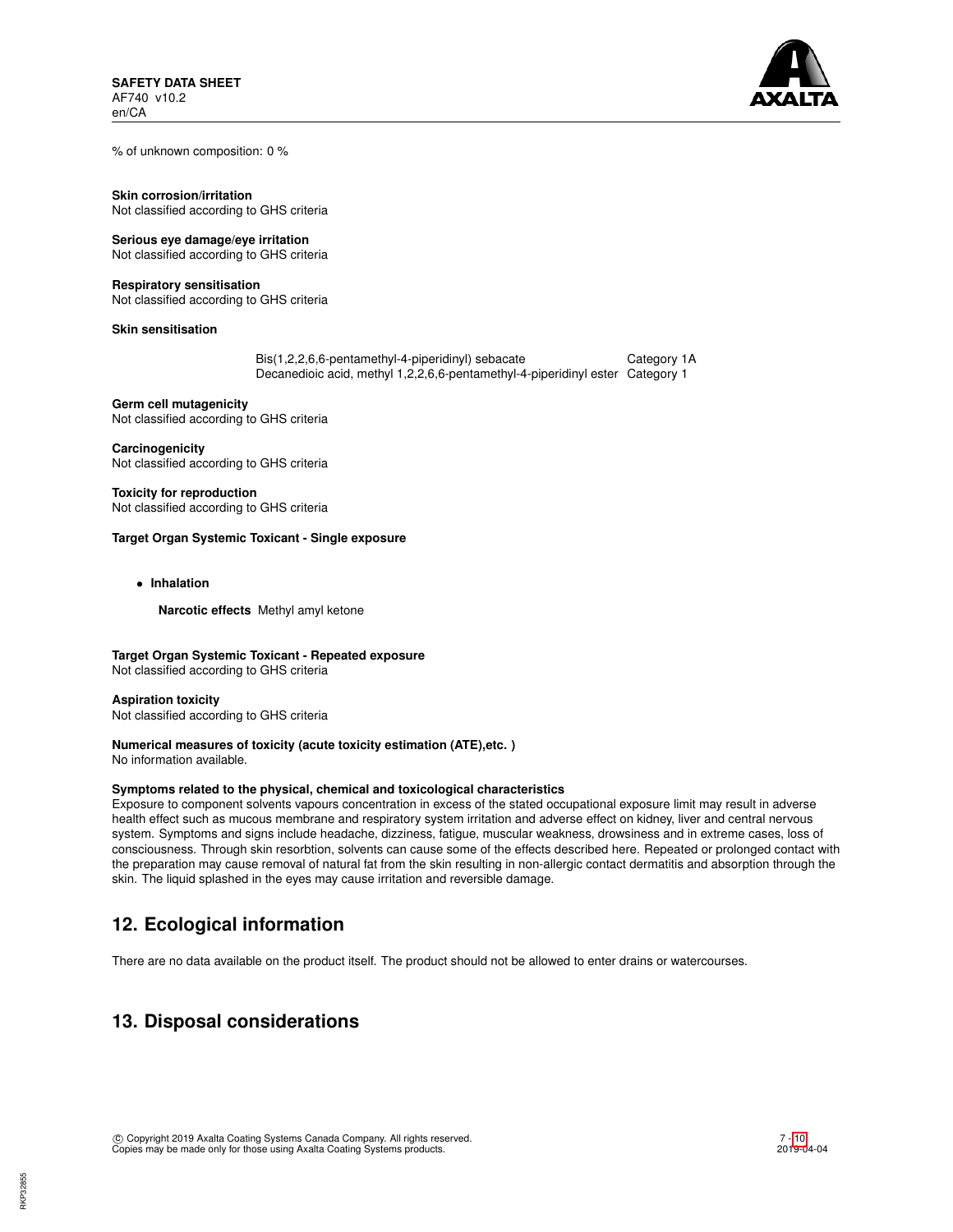

% of unknown composition: 0 %

**Skin corrosion/irritation** Not classified according to GHS criteria

## **Serious eye damage/eye irritation**

Not classified according to GHS criteria

#### **Respiratory sensitisation**

Not classified according to GHS criteria

**Skin sensitisation**

Bis(1,2,2,6,6-pentamethyl-4-piperidinyl) sebacate Category 1A Decanedioic acid, methyl 1,2,2,6,6-pentamethyl-4-piperidinyl ester Category 1

**Germ cell mutagenicity** Not classified according to GHS criteria

**Carcinogenicity** Not classified according to GHS criteria

**Toxicity for reproduction** Not classified according to GHS criteria

## **Target Organ Systemic Toxicant - Single exposure**

• **Inhalation**

**Narcotic effects** Methyl amyl ketone

**Target Organ Systemic Toxicant - Repeated exposure** Not classified according to GHS criteria

## **Aspiration toxicity**

Not classified according to GHS criteria

## **Numerical measures of toxicity (acute toxicity estimation (ATE),etc. )**

No information available.

## **Symptoms related to the physical, chemical and toxicological characteristics**

Exposure to component solvents vapours concentration in excess of the stated occupational exposure limit may result in adverse health effect such as mucous membrane and respiratory system irritation and adverse effect on kidney, liver and central nervous system. Symptoms and signs include headache, dizziness, fatigue, muscular weakness, drowsiness and in extreme cases, loss of consciousness. Through skin resorbtion, solvents can cause some of the effects described here. Repeated or prolonged contact with the preparation may cause removal of natural fat from the skin resulting in non-allergic contact dermatitis and absorption through the skin. The liquid splashed in the eyes may cause irritation and reversible damage.

# **12. Ecological information**

There are no data available on the product itself. The product should not be allowed to enter drains or watercourses.

# **13. Disposal considerations**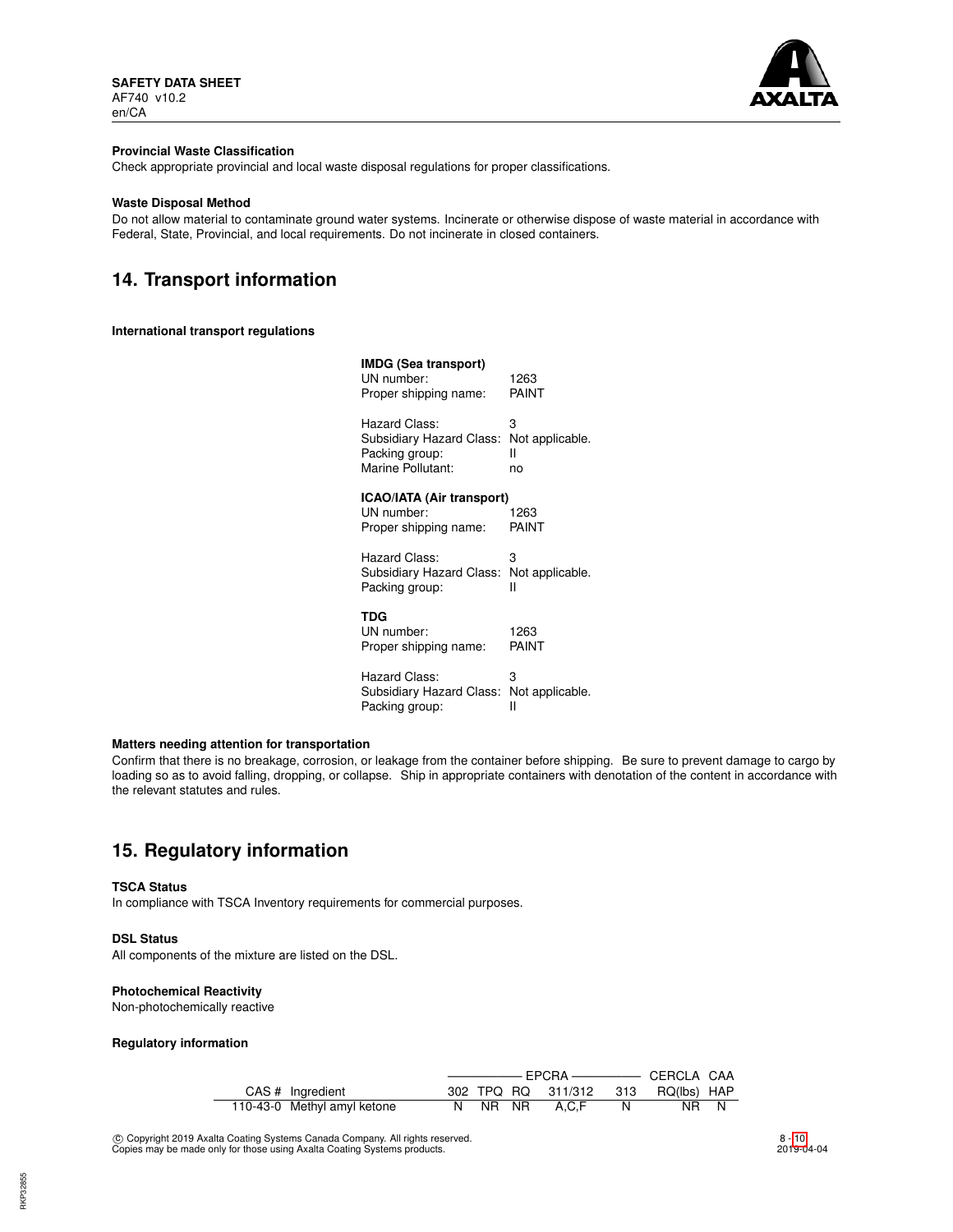

## **Provincial Waste Classification**

Check appropriate provincial and local waste disposal regulations for proper classifications.

## **Waste Disposal Method**

Do not allow material to contaminate ground water systems. Incinerate or otherwise dispose of waste material in accordance with Federal, State, Provincial, and local requirements. Do not incinerate in closed containers.

# **14. Transport information**

## **International transport regulations**

| IMDG (Sea transport)<br>UN number:<br>Proper shipping name:                      | 1263<br>PAINT                   |
|----------------------------------------------------------------------------------|---------------------------------|
| Hazard Class:<br>Subsidiary Hazard Class:<br>Packing group:<br>Marine Pollutant: | 3<br>Not applicable.<br>н<br>no |
| ICAO/IATA (Air transport)<br>UN number:                                          | 1263                            |
| Proper shipping name:                                                            | PAINT                           |
| Hazard Class:                                                                    | 3                               |
| Subsidiary Hazard Class:<br>Packing group:                                       | Not applicable.<br>н            |
| TDG                                                                              |                                 |
| UN number:<br>Proper shipping name:                                              | 1263<br>PAINT                   |
| Hazard Class:<br>Subsidiary Hazard Class:                                        | 3<br>Not applicable.            |
| Packing group:                                                                   | н                               |

## **Matters needing attention for transportation**

Confirm that there is no breakage, corrosion, or leakage from the container before shipping. Be sure to prevent damage to cargo by loading so as to avoid falling, dropping, or collapse. Ship in appropriate containers with denotation of the content in accordance with the relevant statutes and rules.

# **15. Regulatory information**

#### **TSCA Status**

In compliance with TSCA Inventory requirements for commercial purposes.

## **DSL Status**

All components of the mixture are listed on the DSL.

## **Photochemical Reactivity**

Non-photochemically reactive

## **Regulatory information**

|  | CAS # Ingredient            |  |  |  | 302 TPQ RQ 311/312 313 RQ(lbs) HAP |     |      |  |
|--|-----------------------------|--|--|--|------------------------------------|-----|------|--|
|  | 110-43-0 Methyl amyl ketone |  |  |  | N NR NR A.C.F                      | - N | NR N |  |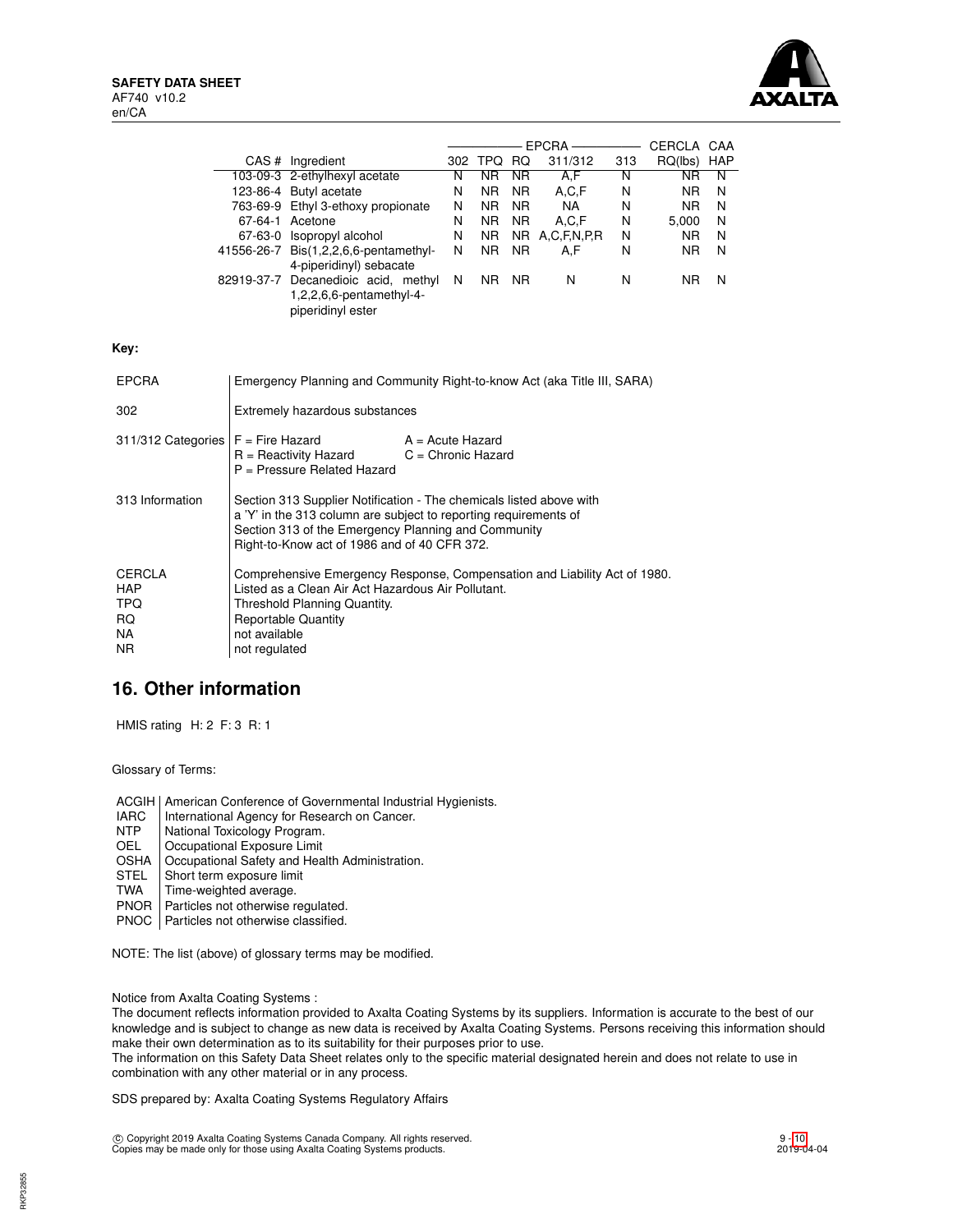

|                                                                                                                                                                                                                                                                   |                                                                                                                                                                                                                                 |                                                                                      |   |                |                | $EPCRA$ ——     |     | CERCLA CAA     |   |
|-------------------------------------------------------------------------------------------------------------------------------------------------------------------------------------------------------------------------------------------------------------------|---------------------------------------------------------------------------------------------------------------------------------------------------------------------------------------------------------------------------------|--------------------------------------------------------------------------------------|---|----------------|----------------|----------------|-----|----------------|---|
|                                                                                                                                                                                                                                                                   |                                                                                                                                                                                                                                 | CAS # Ingredient                                                                     |   | 302 TPQ RQ     |                | 311/312        | 313 | RQ(lbs) HAP    |   |
|                                                                                                                                                                                                                                                                   |                                                                                                                                                                                                                                 | 103-09-3 2-ethylhexyl acetate                                                        | N | <b>NR</b>      | <b>NR</b>      | A,F            | N   | <b>NR</b>      | N |
|                                                                                                                                                                                                                                                                   |                                                                                                                                                                                                                                 | 123-86-4 Butyl acetate                                                               | N | N <sub>R</sub> | N <sub>R</sub> | A, C, F        | N   | <b>NR</b>      | N |
|                                                                                                                                                                                                                                                                   |                                                                                                                                                                                                                                 | 763-69-9 Ethyl 3-ethoxy propionate                                                   | N | NR.            | NR.            | <b>NA</b>      | N   | N <sub>R</sub> | N |
|                                                                                                                                                                                                                                                                   |                                                                                                                                                                                                                                 | 67-64-1 Acetone                                                                      | N | <b>NR</b>      | <b>NR</b>      | A.C.F          | N   | 5,000          | N |
|                                                                                                                                                                                                                                                                   |                                                                                                                                                                                                                                 | 67-63-0 Isopropyl alcohol                                                            | N | N <sub>R</sub> |                | NR A,C,F,N,P,R | N   | NR.            | N |
|                                                                                                                                                                                                                                                                   |                                                                                                                                                                                                                                 | 41556-26-7 Bis(1,2,2,6,6-pentamethyl-                                                | N | NR.            | NR.            | A,F            | N   | NR.            | N |
|                                                                                                                                                                                                                                                                   |                                                                                                                                                                                                                                 | 4-piperidinyl) sebacate                                                              |   |                |                |                |     |                |   |
|                                                                                                                                                                                                                                                                   |                                                                                                                                                                                                                                 | 82919-37-7 Decanedioic acid, methyl<br>1,2,2,6,6-pentamethyl-4-<br>piperidinyl ester | N | NR NR          |                | N              | N   | NR.            | N |
| Key:                                                                                                                                                                                                                                                              |                                                                                                                                                                                                                                 |                                                                                      |   |                |                |                |     |                |   |
| <b>EPCRA</b>                                                                                                                                                                                                                                                      |                                                                                                                                                                                                                                 | Emergency Planning and Community Right-to-know Act (aka Title III, SARA)             |   |                |                |                |     |                |   |
| 302                                                                                                                                                                                                                                                               | Extremely hazardous substances                                                                                                                                                                                                  |                                                                                      |   |                |                |                |     |                |   |
| 311/312 Categories                                                                                                                                                                                                                                                | $F =$ Fire Hazard<br>$A = Acute$ Hazard<br>$R =$ Reactivity Hazard<br>$C =$ Chronic Hazard<br>$P =$ Pressure Related Hazard                                                                                                     |                                                                                      |   |                |                |                |     |                |   |
| 313 Information<br>Section 313 Supplier Notification - The chemicals listed above with<br>a 'Y' in the 313 column are subject to reporting requirements of<br>Section 313 of the Emergency Planning and Community<br>Right-to-Know act of 1986 and of 40 CFR 372. |                                                                                                                                                                                                                                 |                                                                                      |   |                |                |                |     |                |   |
| <b>CERCLA</b><br><b>HAP</b><br>TPQ.<br>RQ<br>NA.<br>NR.                                                                                                                                                                                                           | Comprehensive Emergency Response, Compensation and Liability Act of 1980.<br>Listed as a Clean Air Act Hazardous Air Pollutant.<br>Threshold Planning Quantity.<br><b>Reportable Quantity</b><br>not available<br>not regulated |                                                                                      |   |                |                |                |     |                |   |

# **16. Other information**

HMIS rating H: 2 F: 3 R: 1

Glossary of Terms:

ACGIH | American Conference of Governmental Industrial Hygienists.

- IARC | International Agency for Research on Cancer.<br>
NTP | National Toxicology Program.
- NTP National Toxicology Program.<br>OEL Cocupational Exposure Limit
- Occupational Exposure Limit
- OSHA | Occupational Safety and Health Administration.<br>STEL | Short term exposure limit
- STEL Short term exposure limit<br>TWA Time-weighted average.
- Time-weighted average.
- PNOR | Particles not otherwise regulated.
- PNOC | Particles not otherwise classified.

NOTE: The list (above) of glossary terms may be modified.

Notice from Axalta Coating Systems :

The document reflects information provided to Axalta Coating Systems by its suppliers. Information is accurate to the best of our knowledge and is subject to change as new data is received by Axalta Coating Systems. Persons receiving this information should make their own determination as to its suitability for their purposes prior to use.

The information on this Safety Data Sheet relates only to the specific material designated herein and does not relate to use in combination with any other material or in any process.

SDS prepared by: Axalta Coating Systems Regulatory Affairs